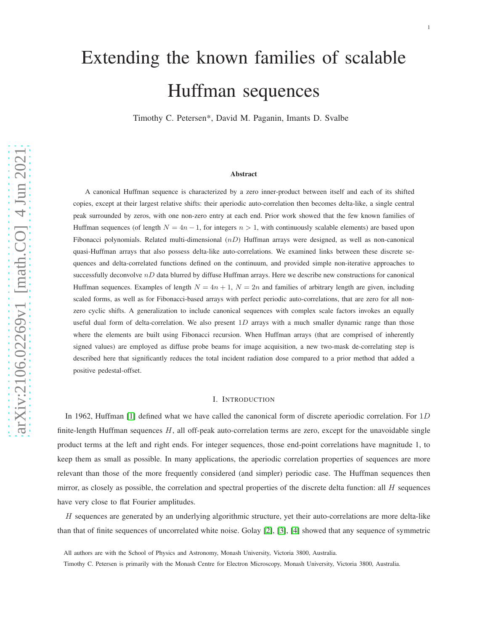# Extending the known families of scalable Huffman sequences

Timothy C. Petersen\*, David M. Paganin, Imants D. Svalbe

#### Abstract

A canonical Huffman sequence is characterized by a zero inner-product between itself and each of its shifted copies, except at their largest relative shifts: their aperiodic auto-correlation then becomes delta-like, a single central peak surrounded by zeros, with one non-zero entry at each end. Prior work showed that the few known families of Huffman sequences (of length  $N = 4n - 1$ , for integers  $n > 1$ , with continuously scalable elements) are based upon Fibonacci polynomials. Related multi-dimensional  $(nD)$  Huffman arrays were designed, as well as non-canonical quasi-Huffman arrays that also possess delta-like auto-correlations. We examined links between these discrete sequences and delta-correlated functions defined on the continuum, and provided simple non-iterative approaches to successfully deconvolve  $nD$  data blurred by diffuse Huffman arrays. Here we describe new constructions for canonical Huffman sequences. Examples of length  $N = 4n + 1$ ,  $N = 2n$  and families of arbitrary length are given, including scaled forms, as well as for Fibonacci-based arrays with perfect periodic auto-correlations, that are zero for all nonzero cyclic shifts. A generalization to include canonical sequences with complex scale factors invokes an equally useful dual form of delta-correlation. We also present  $1D$  arrays with a much smaller dynamic range than those where the elements are built using Fibonacci recursion. When Huffman arrays (that are comprised of inherently signed values) are employed as diffuse probe beams for image acquisition, a new two-mask de-correlating step is described here that significantly reduces the total incident radiation dose compared to a prior method that added a positive pedestal-offset.

### I. INTRODUCTION

In 1962, Huffman [\[1\]](#page-9-0) defined what we have called the canonical form of discrete aperiodic correlation. For 1D finite-length Huffman sequences  $H$ , all off-peak auto-correlation terms are zero, except for the unavoidable single product terms at the left and right ends. For integer sequences, those end-point correlations have magnitude 1, to keep them as small as possible. In many applications, the aperiodic correlation properties of sequences are more relevant than those of the more frequently considered (and simpler) periodic case. The Huffman sequences then mirror, as closely as possible, the correlation and spectral properties of the discrete delta function: all  $H$  sequences have very close to flat Fourier amplitudes.

 $H$  sequences are generated by an underlying algorithmic structure, yet their auto-correlations are more delta-like than that of finite sequences of uncorrelated white noise. Golay [\[2\]](#page-9-1), [\[3\]](#page-9-2), [\[4\]](#page-9-3) showed that any sequence of symmetric

All authors are with the School of Physics and Astronomy, Monash University, Victoria 3800, Australia.

Timothy C. Petersen is primarily with the Monash Centre for Electron Microscopy, Monash University, Victoria 3800, Australia.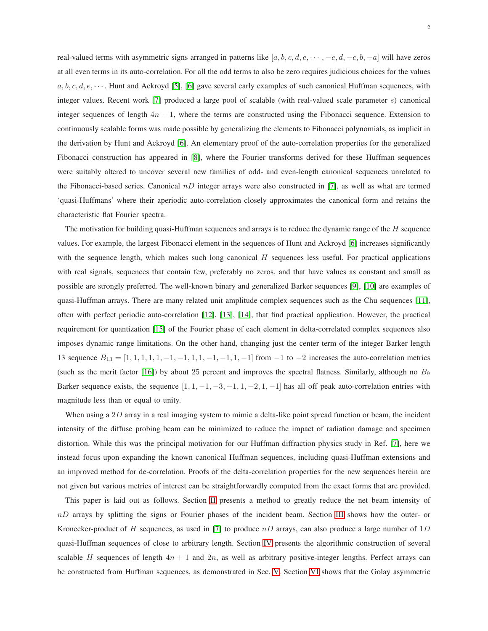real-valued terms with asymmetric signs arranged in patterns like [a, b, c, d, e, · · · , -e, d, -c, b, -a] will have zeros at all even terms in its auto-correlation. For all the odd terms to also be zero requires judicious choices for the values  $a, b, c, d, e, \cdots$ . Hunt and Ackroyd [\[5\]](#page-9-4), [\[6\]](#page-9-5) gave several early examples of such canonical Huffman sequences, with integer values. Recent work [\[7\]](#page-9-6) produced a large pool of scalable (with real-valued scale parameter  $s$ ) canonical integer sequences of length  $4n - 1$ , where the terms are constructed using the Fibonacci sequence. Extension to continuously scalable forms was made possible by generalizing the elements to Fibonacci polynomials, as implicit in the derivation by Hunt and Ackroyd [\[6\]](#page-9-5). An elementary proof of the auto-correlation properties for the generalized Fibonacci construction has appeared in [\[8\]](#page-9-7), where the Fourier transforms derived for these Huffman sequences were suitably altered to uncover several new families of odd- and even-length canonical sequences unrelated to the Fibonacci-based series. Canonical  $nD$  integer arrays were also constructed in [\[7\]](#page-9-6), as well as what are termed 'quasi-Huffmans' where their aperiodic auto-correlation closely approximates the canonical form and retains the characteristic flat Fourier spectra.

The motivation for building quasi-Huffman sequences and arrays is to reduce the dynamic range of the H sequence values. For example, the largest Fibonacci element in the sequences of Hunt and Ackroyd [\[6\]](#page-9-5) increases significantly with the sequence length, which makes such long canonical  $H$  sequences less useful. For practical applications with real signals, sequences that contain few, preferably no zeros, and that have values as constant and small as possible are strongly preferred. The well-known binary and generalized Barker sequences [\[9\]](#page-9-8), [\[10\]](#page-9-9) are examples of quasi-Huffman arrays. There are many related unit amplitude complex sequences such as the Chu sequences [\[11\]](#page-9-10), often with perfect periodic auto-correlation [\[12\]](#page-9-11), [\[13\]](#page-9-12), [\[14\]](#page-9-13), that find practical application. However, the practical requirement for quantization [\[15\]](#page-9-14) of the Fourier phase of each element in delta-correlated complex sequences also imposes dynamic range limitations. On the other hand, changing just the center term of the integer Barker length 13 sequence  $B_{13} = [1, 1, 1, 1, 1, -1, -1, 1, 1, -1, -1, 1, -1]$  from  $-1$  to  $-2$  increases the auto-correlation metrics (such as the merit factor [\[16\]](#page-9-15)) by about 25 percent and improves the spectral flatness. Similarly, although no  $B_9$ Barker sequence exists, the sequence  $[1, 1, -1, -3, -1, 1, -2, 1, -1]$  has all off peak auto-correlation entries with magnitude less than or equal to unity.

When using a  $2D$  array in a real imaging system to mimic a delta-like point spread function or beam, the incident intensity of the diffuse probing beam can be minimized to reduce the impact of radiation damage and specimen distortion. While this was the principal motivation for our Huffman diffraction physics study in Ref. [\[7\]](#page-9-6), here we instead focus upon expanding the known canonical Huffman sequences, including quasi-Huffman extensions and an improved method for de-correlation. Proofs of the delta-correlation properties for the new sequences herein are not given but various metrics of interest can be straightforwardly computed from the exact forms that are provided.

This paper is laid out as follows. Section [II](#page-2-0) presents a method to greatly reduce the net beam intensity of  $nD$  arrays by splitting the signs or Fourier phases of the incident beam. Section [III](#page-3-0) shows how the outer- or Kronecker-product of H sequences, as used in [\[7\]](#page-9-6) to produce  $nD$  arrays, can also produce a large number of 1D quasi-Huffman sequences of close to arbitrary length. Section [IV](#page-3-1) presents the algorithmic construction of several scalable H sequences of length  $4n + 1$  and  $2n$ , as well as arbitrary positive-integer lengths. Perfect arrays can be constructed from Huffman sequences, as demonstrated in Sec. [V.](#page-6-0) Section [VI](#page-7-0) shows that the Golay asymmetric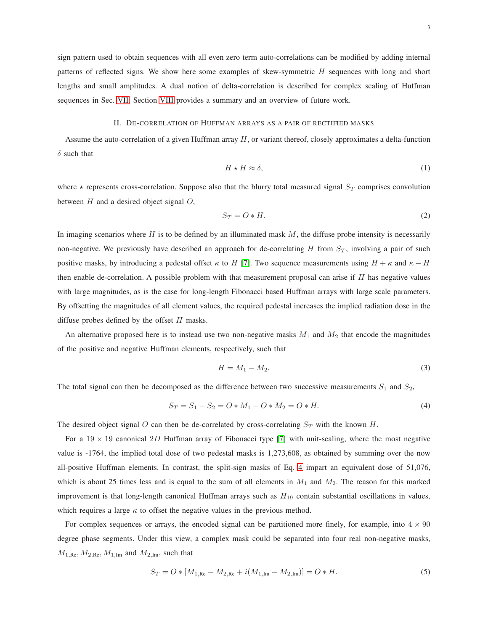sign pattern used to obtain sequences with all even zero term auto-correlations can be modified by adding internal patterns of reflected signs. We show here some examples of skew-symmetric H sequences with long and short lengths and small amplitudes. A dual notion of delta-correlation is described for complex scaling of Huffman sequences in Sec. [VII.](#page-7-1) Section [VIII](#page-8-0) provides a summary and an overview of future work.

#### II. DE-CORRELATION OF HUFFMAN ARRAYS AS A PAIR OF RECTIFIED MASKS

<span id="page-2-0"></span>Assume the auto-correlation of a given Huffman array  $H$ , or variant thereof, closely approximates a delta-function  $\delta$  such that

<span id="page-2-3"></span>
$$
H \star H \approx \delta,\tag{1}
$$

where  $\star$  represents cross-correlation. Suppose also that the blurry total measured signal  $S_T$  comprises convolution between  $H$  and a desired object signal  $O$ ,

$$
S_T = O * H. \tag{2}
$$

In imaging scenarios where  $H$  is to be defined by an illuminated mask  $M$ , the diffuse probe intensity is necessarily non-negative. We previously have described an approach for de-correlating  $H$  from  $S_T$ , involving a pair of such positive masks, by introducing a pedestal offset  $\kappa$  to H [\[7\]](#page-9-6). Two sequence measurements using  $H + \kappa$  and  $\kappa - H$ then enable de-correlation. A possible problem with that measurement proposal can arise if  $H$  has negative values with large magnitudes, as is the case for long-length Fibonacci based Huffman arrays with large scale parameters. By offsetting the magnitudes of all element values, the required pedestal increases the implied radiation dose in the diffuse probes defined by the offset  $H$  masks.

An alternative proposed here is to instead use two non-negative masks  $M_1$  and  $M_2$  that encode the magnitudes of the positive and negative Huffman elements, respectively, such that

$$
H = M_1 - M_2. \tag{3}
$$

The total signal can then be decomposed as the difference between two successive measurements  $S_1$  and  $S_2$ ,

<span id="page-2-1"></span>
$$
S_T = S_1 - S_2 = O * M_1 - O * M_2 = O * H.
$$
\n(4)

The desired object signal O can then be de-correlated by cross-correlating  $S_T$  with the known H.

For a  $19 \times 19$  canonical 2D Huffman array of Fibonacci type [\[7\]](#page-9-6) with unit-scaling, where the most negative value is -1764, the implied total dose of two pedestal masks is 1,273,608, as obtained by summing over the now all-positive Huffman elements. In contrast, the split-sign masks of Eq. [4](#page-2-1) impart an equivalent dose of 51,076, which is about 25 times less and is equal to the sum of all elements in  $M_1$  and  $M_2$ . The reason for this marked improvement is that long-length canonical Huffman arrays such as  $H_{19}$  contain substantial oscillations in values, which requires a large  $\kappa$  to offset the negative values in the previous method.

For complex sequences or arrays, the encoded signal can be partitioned more finely, for example, into  $4 \times 90$ degree phase segments. Under this view, a complex mask could be separated into four real non-negative masks,  $M_{1,\text{Re}}, M_{2,\text{Re}}, M_{1,\text{Im}}$  and  $M_{2,\text{Im}}$ , such that

<span id="page-2-2"></span>
$$
S_T = O * [M_{1,\text{Re}} - M_{2,\text{Re}} + i(M_{1,\text{Im}} - M_{2,\text{Im}})] = O * H.
$$
\n(5)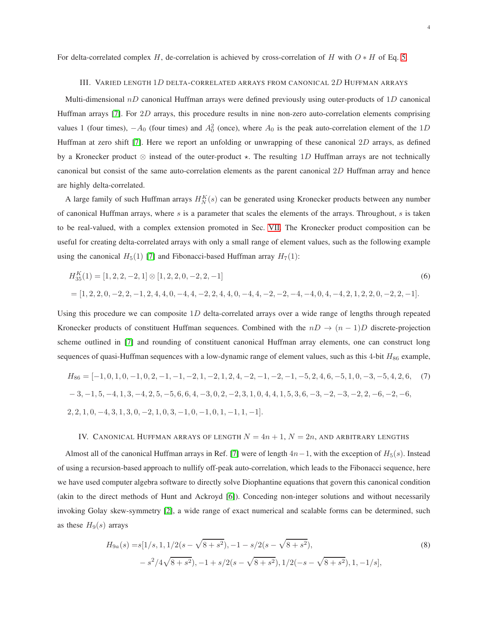<span id="page-3-0"></span>For delta-correlated complex H, de-correlation is achieved by cross-correlation of H with  $O * H$  of Eq. [5.](#page-2-2)

#### III. VARIED LENGTH 1D DELTA-CORRELATED ARRAYS FROM CANONICAL 2D HUFFMAN ARRAYS

Multi-dimensional  $nD$  canonical Huffman arrays were defined previously using outer-products of 1D canonical Huffman arrays [\[7\]](#page-9-6). For 2D arrays, this procedure results in nine non-zero auto-correlation elements comprising values 1 (four times),  $-A_0$  (four times) and  $A_0^2$  (once), where  $A_0$  is the peak auto-correlation element of the 1D Huffman at zero shift [\[7\]](#page-9-6). Here we report an unfolding or unwrapping of these canonical 2D arrays, as defined by a Kronecker product  $\otimes$  instead of the outer-product  $\star$ . The resulting 1D Huffman arrays are not technically canonical but consist of the same auto-correlation elements as the parent canonical 2D Huffman array and hence are highly delta-correlated.

A large family of such Huffman arrays  $H_N^K(s)$  can be generated using Kronecker products between any number of canonical Huffman arrays, where  $s$  is a parameter that scales the elements of the arrays. Throughout,  $s$  is taken to be real-valued, with a complex extension promoted in Sec. [VII.](#page-7-1) The Kronecker product composition can be useful for creating delta-correlated arrays with only a small range of element values, such as the following example using the canonical  $H_5(1)$  [\[7\]](#page-9-6) and Fibonacci-based Huffman array  $H_7(1)$ :

$$
H_{35}^{K}(1) = [1, 2, 2, -2, 1] \otimes [1, 2, 2, 0, -2, 2, -1]
$$
\n
$$
= [1, 2, 2, 0, -2, 2, -1, 2, 4, 4, 0, -4, 4, -2, 2, 4, 4, 0, -4, 4, -2, -2, -4, -4, 0, 4, -4, 2, 1, 2, 2, 0, -2, 2, -1].
$$
\n(6)

Using this procedure we can composite 1D delta-correlated arrays over a wide range of lengths through repeated Kronecker products of constituent Huffman sequences. Combined with the  $nD \rightarrow (n-1)D$  discrete-projection scheme outlined in [\[7\]](#page-9-6) and rounding of constituent canonical Huffman array elements, one can construct long sequences of quasi-Huffman sequences with a low-dynamic range of element values, such as this 4-bit  $H_{86}$  example,

$$
H_{86} = [-1, 0, 1, 0, -1, 0, 2, -1, -1, -2, 1, -2, 1, 2, 4, -2, -1, -2, -1, -5, 2, 4, 6, -5, 1, 0, -3, -5, 4, 2, 6, (7)
$$
  

$$
-3, -1, 5, -4, 1, 3, -4, 2, 5, -5, 6, 6, 4, -3, 0, 2, -2, 3, 1, 0, 4, 4, 1, 5, 3, 6, -3, -2, -3, -2, 2, -6, -2, -6,
$$
  

$$
2, 2, 1, 0, -4, 3, 1, 3, 0, -2, 1, 0, 3, -1, 0, -1, 0, 1, -1, 1, -1].
$$

#### <span id="page-3-1"></span>IV. CANONICAL HUFFMAN ARRAYS OF LENGTH  $N = 4n + 1$ ,  $N = 2n$ , and arbitrary lengths

Almost all of the canonical Huffman arrays in Ref. [\[7\]](#page-9-6) were of length  $4n-1$ , with the exception of  $H_5(s)$ . Instead of using a recursion-based approach to nullify off-peak auto-correlation, which leads to the Fibonacci sequence, here we have used computer algebra software to directly solve Diophantine equations that govern this canonical condition (akin to the direct methods of Hunt and Ackroyd [\[6\]](#page-9-5)). Conceding non-integer solutions and without necessarily invoking Golay skew-symmetry [\[2\]](#page-9-1), a wide range of exact numerical and scalable forms can be determined, such as these  $H_9(s)$  arrays

<span id="page-3-2"></span>
$$
H_{9a}(s) = s[1/s, 1, 1/2(s - \sqrt{8 + s^2}), -1 - s/2(s - \sqrt{8 + s^2}),
$$
  

$$
-s^2/4\sqrt{8 + s^2}), -1 + s/2(s - \sqrt{8 + s^2}), 1/2(-s - \sqrt{8 + s^2}), 1, -1/s],
$$
  
(8)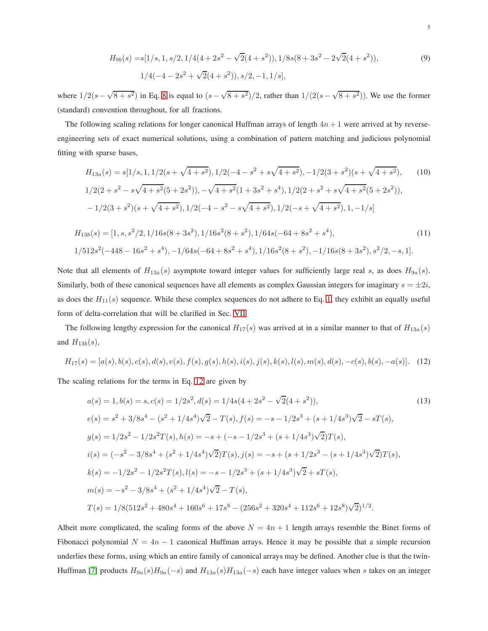$$
H_{9b}(s) = s[1/s, 1, s/2, 1/4(4+2s^2-\sqrt{2}(4+s^2)), 1/8s(8+3s^2-2\sqrt{2}(4+s^2)),
$$
  
 
$$
1/4(-4-2s^2+\sqrt{2}(4+s^2)), s/2, -1, 1/s],
$$
 (9)

where  $1/2(s-\sqrt{8+s^2})$  in Eq. [8](#page-3-2) is equal to  $(s-\sqrt{8+s^2})/2$ , rather than  $1/(2(s-\sqrt{8+s^2}))$ . We use the former (standard) convention throughout, for all fractions.

The following scaling relations for longer canonical Huffman arrays of length  $4n + 1$  were arrived at by reverseengineering sets of exact numerical solutions, using a combination of pattern matching and judicious polynomial fitting with sparse bases,

$$
H_{13a}(s) = s[1/s, 1, 1/2(s + \sqrt{4 + s^2}), 1/2(-4 - s^2 + s\sqrt{4 + s^2}), -1/2(3 + s^2)(s + \sqrt{4 + s^2}),
$$
(10)  
\n
$$
1/2(2 + s^2 - s\sqrt{4 + s^2}(5 + 2s^2)), -\sqrt{4 + s^2}(1 + 3s^2 + s^4), 1/2(2 + s^2 + s\sqrt{4 + s^2}(5 + 2s^2)),
$$
  
\n
$$
-1/2(3 + s^2)(s + \sqrt{4 + s^2}), 1/2(-4 - s^2 - s\sqrt{4 + s^2}), 1/2(-s + \sqrt{4 + s^2}), 1, -1/s]
$$
  
\n
$$
H_{13b}(s) = [1, s, s^2/2, 1/16s(8 + 3s^2), 1/16s^2(8 + s^2), 1/64s(-64 + 8s^2 + s^4),
$$
  
\n
$$
1/512s^2(-448 - 16s^2 + s^4), -1/64s(-64 + 8s^2 + s^4), 1/16s^2(8 + s^2), -1/16s(8 + 3s^2), s^2/2, -s, 1].
$$
\n(11)

Note that all elements of  $H_{13a}(s)$  asymptote toward integer values for sufficiently large real s, as does  $H_{9a}(s)$ . Similarly, both of these canonical sequences have all elements as complex Gaussian integers for imaginary  $s = \pm 2i$ , as does the  $H_{11}(s)$  sequence. While these complex sequences do not adhere to Eq. [1,](#page-2-3) they exhibit an equally useful form of delta-correlation that will be clarified in Sec. [VII.](#page-7-1)

The following lengthy expression for the canonical  $H_{17}(s)$  was arrived at in a similar manner to that of  $H_{13a}(s)$ and  $H_{13b}(s)$ ,

$$
H_{17}(s) = [a(s), b(s), c(s), d(s), e(s), f(s), g(s), h(s), i(s), j(s), k(s), l(s), m(s), d(s), -c(s), b(s), -a(s)].
$$
 (12)

The scaling relations for the terms in Eq. [12](#page-4-0) are given by

<span id="page-4-0"></span>
$$
a(s) = 1, b(s) = s, c(s) = 1/2s^2, d(s) = 1/4s(4 + 2s^2 - \sqrt{2}(4 + s^2)),
$$
\n
$$
e(s) = s^2 + 3/8s^4 - (s^2 + 1/4s^4)\sqrt{2} - T(s), f(s) = -s - 1/2s^3 + (s + 1/4s^3)\sqrt{2} - sT(s),
$$
\n
$$
g(s) = 1/2s^2 - 1/2s^2T(s), h(s) = -s + (-s - 1/2s^3 + (s + 1/4s^3)\sqrt{2})T(s),
$$
\n
$$
i(s) = (-s^2 - 3/8s^4 + (s^2 + 1/4s^4)\sqrt{2})T(s), j(s) = -s + (s + 1/2s^3 - (s + 1/4s^3)\sqrt{2})T(s),
$$
\n
$$
k(s) = -1/2s^2 - 1/2s^2T(s), l(s) = -s - 1/2s^3 + (s + 1/4s^3)\sqrt{2} + sT(s),
$$
\n
$$
m(s) = -s^2 - 3/8s^4 + (s^2 + 1/4s^4)\sqrt{2} - T(s),
$$
\n
$$
T(s) = 1/8(512s^2 + 480s^4 + 160s^6 + 17s^8 - (256s^2 + 320s^4 + 112s^6 + 12s^8)\sqrt{2})^{1/2}.
$$
\n(13)

Albeit more complicated, the scaling forms of the above  $N = 4n + 1$  length arrays resemble the Binet forms of Fibonacci polynomial  $N = 4n - 1$  canonical Huffman arrays. Hence it may be possible that a simple recursion underlies these forms, using which an entire family of canonical arrays may be defined. Another clue is that the twin-Huffman [\[7\]](#page-9-6) products  $H_{9a}(s)H_{9a}(-s)$  and  $H_{13a}(s)H_{13a}(-s)$  each have integer values when s takes on an integer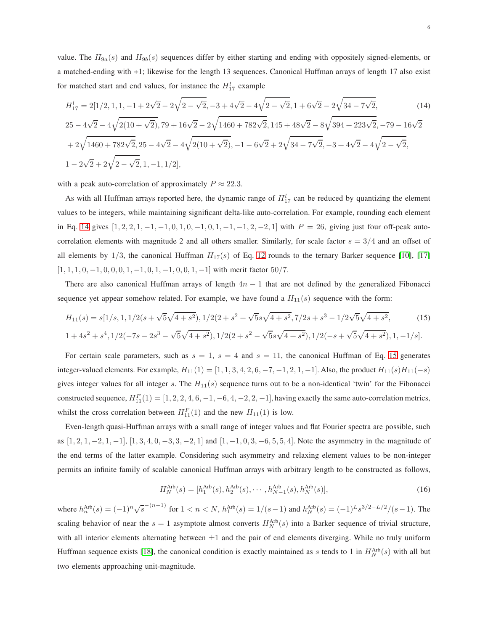value. The  $H_{9a}(s)$  and  $H_{9b}(s)$  sequences differ by either starting and ending with oppositely signed-elements, or a matched-ending with +1; likewise for the length 13 sequences. Canonical Huffman arrays of length 17 also exist for matched start and end values, for instance the  $H_{17}^l$  example

<span id="page-5-0"></span>
$$
H_{17}^l = 2[1/2, 1, 1, -1 + 2\sqrt{2} - 2\sqrt{2 - \sqrt{2}}, -3 + 4\sqrt{2 - 4\sqrt{2 - \sqrt{2}}, 1 + 6\sqrt{2 - 2\sqrt{34 - 7\sqrt{2}}}}, \tag{14}
$$

$$
25 - 4\sqrt{2} - 4\sqrt{2(10 + \sqrt{2})}, 79 + 16\sqrt{2} - 2\sqrt{1460 + 782\sqrt{2}}, 145 + 48\sqrt{2} - 8\sqrt{394 + 223\sqrt{2}}, -79 - 16\sqrt{2} + 2\sqrt{1460 + 782\sqrt{2}}, 25 - 4\sqrt{2} - 4\sqrt{2(10 + \sqrt{2})}, -1 - 6\sqrt{2} + 2\sqrt{34 - 7\sqrt{2}}, -3 + 4\sqrt{2} - 4\sqrt{2 - \sqrt{2}},
$$
  

$$
1 - 2\sqrt{2} + 2\sqrt{2 - \sqrt{2}}, 1, -1, 1/2],
$$

with a peak auto-correlation of approximately  $P \approx 22.3$ .

As with all Huffman arrays reported here, the dynamic range of  $H_{17}^l$  can be reduced by quantizing the element values to be integers, while maintaining significant delta-like auto-correlation. For example, rounding each element in Eq. [14](#page-5-0) gives  $[1, 2, 2, 1, -1, -1, 0, 1, 0, -1, 0, 1, -1, -1, 2, -2, 1]$  with  $P = 26$ , giving just four off-peak autocorrelation elements with magnitude 2 and all others smaller. Similarly, for scale factor  $s = 3/4$  and an offset of all elements by  $1/3$ , the canonical Huffman  $H_1(5)$  of Eq. [12](#page-4-0) rounds to the ternary Barker sequence [\[10\]](#page-9-9), [\[17\]](#page-9-16)  $[1, 1, 1, 0, -1, 0, 0, 0, 1, -1, 0, 1, -1, 0, 0, 1, -1]$  with merit factor 50/7.

There are also canonical Huffman arrays of length  $4n - 1$  that are not defined by the generalized Fibonacci sequence yet appear somehow related. For example, we have found a  $H_{11}(s)$  sequence with the form:

$$
H_{11}(s) = s[1/s, 1, 1/2(s + \sqrt{5}\sqrt{4+s^2}), 1/2(2+s^2 + \sqrt{5}s\sqrt{4+s^2}, 7/2s + s^3 - 1/2\sqrt{5}\sqrt{4+s^2},
$$
(15)  

$$
1 + 4s^2 + s^4, 1/2(-7s - 2s^3 - \sqrt{5}\sqrt{4+s^2}), 1/2(2+s^2 - \sqrt{5}s\sqrt{4+s^2}), 1/2(-s + \sqrt{5}\sqrt{4+s^2}), 1, -1/s].
$$

For certain scale parameters, such as  $s = 1$ ,  $s = 4$  and  $s = 11$ , the canonical Huffman of Eq. [15](#page-5-1) generates integer-valued elements. For example,  $H_{11}(1) = [1, 1, 3, 4, 2, 6, -7, -1, 2, 1, -1]$ . Also, the product  $H_{11}(s)H_{11}(-s)$ gives integer values for all integer s. The  $H_{11}(s)$  sequence turns out to be a non-identical 'twin' for the Fibonacci constructed sequence,  $H_{11}^F(1) = [1, 2, 2, 4, 6, -1, -6, 4, -2, 2, -1]$ , having exactly the same auto-correlation metrics, whilst the cross correlation between  $H_{11}^F(1)$  and the new  $H_{11}(1)$  is low.

Even-length quasi-Huffman arrays with a small range of integer values and flat Fourier spectra are possible, such as  $[1, 2, 1, -2, 1, -1]$ ,  $[1, 3, 4, 0, -3, 3, -2, 1]$  and  $[1, -1, 0, 3, -6, 5, 5, 4]$ . Note the asymmetry in the magnitude of the end terms of the latter example. Considering such asymmetry and relaxing element values to be non-integer permits an infinite family of scalable canonical Huffman arrays with arbitrary length to be constructed as follows,

<span id="page-5-1"></span>
$$
H_N^{\text{Arb}}(s) = [h_1^{\text{Arb}}(s), h_2^{\text{Arb}}(s), \cdots, h_{N-1}^{\text{Arb}}(s), h_N^{\text{Arb}}(s)],
$$
\n(16)

where  $h_n^{\text{Arb}}(s) = (-1)^n \sqrt{s}^{-(n-1)}$  for  $1 < n < N$ ,  $h_1^{\text{Arb}}(s) = 1/(s-1)$  and  $h_N^{\text{Arb}}(s) = (-1)^L s^{3/2 - L/2}/(s-1)$ . The scaling behavior of near the  $s = 1$  asymptote almost converts  $H_N^{\text{Arb}}(s)$  into a Barker sequence of trivial structure, with all interior elements alternating between  $\pm 1$  and the pair of end elements diverging. While no truly uniform Huffman sequence exists [\[18\]](#page-9-17), the canonical condition is exactly maintained as s tends to 1 in  $H_N^{Arb}(s)$  with all but two elements approaching unit-magnitude.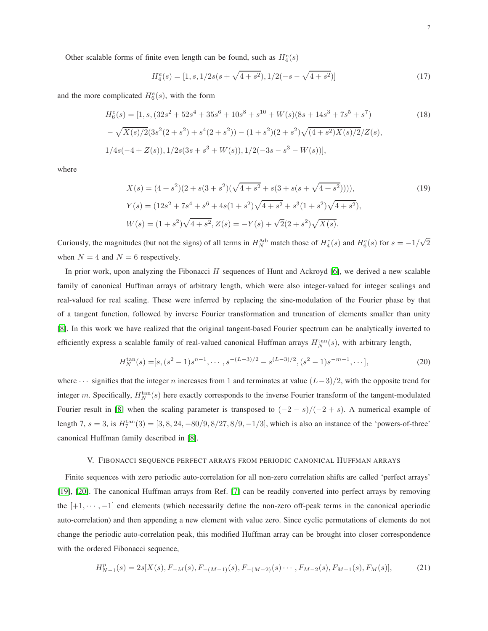Other scalable forms of finite even length can be found, such as  $H_4^e(s)$ 

$$
H_4^e(s) = [1, s, 1/2s(s + \sqrt{4 + s^2}), 1/2(-s - \sqrt{4 + s^2})]
$$
\n(17)

and the more complicated  $H_6^e(s)$ , with the form

$$
H_6^e(s) = [1, s, (32s^2 + 52s^4 + 35s^6 + 10s^8 + s^{10} + W(s)(8s + 14s^3 + 7s^5 + s^7)
$$
  
\n
$$
-\sqrt{X(s)/2}(3s^2(2+s^2) + s^4(2+s^2)) - (1+s^2)(2+s^2)\sqrt{(4+s^2)X(s)/2}/Z(s),
$$
  
\n
$$
1/4s(-4+Z(s)), 1/2s(3s + s^3 + W(s)), 1/2(-3s - s^3 - W(s))],
$$
\n(18)

where

$$
X(s) = (4+s^2)(2+s(3+s^2)(\sqrt{4+s^2}+s(3+s(s+\sqrt{4+s^2}))))),
$$
  
\n
$$
Y(s) = (12s^2+7s^4+s^6+4s(1+s^2)\sqrt{4+s^2}+s^3(1+s^2)\sqrt{4+s^2}),
$$
  
\n
$$
W(s) = (1+s^2)\sqrt{4+s^2}, Z(s) = -Y(s)+\sqrt{2}(2+s^2)\sqrt{X(s)}.
$$
\n(19)

Curiously, the magnitudes (but not the signs) of all terms in  $H_N^{Arb}$  match those of  $H_4^e(s)$  and  $H_6^e(s)$  for  $s = -1/\sqrt{2}$ when  $N = 4$  and  $N = 6$  respectively.

In prior work, upon analyzing the Fibonacci  $H$  sequences of Hunt and Ackroyd [\[6\]](#page-9-5), we derived a new scalable family of canonical Huffman arrays of arbitrary length, which were also integer-valued for integer scalings and real-valued for real scaling. These were inferred by replacing the sine-modulation of the Fourier phase by that of a tangent function, followed by inverse Fourier transformation and truncation of elements smaller than unity [\[8\]](#page-9-7). In this work we have realized that the original tangent-based Fourier spectrum can be analytically inverted to efficiently express a scalable family of real-valued canonical Huffman arrays  $H_N^{\text{tan}}(s)$ , with arbitrary length,

$$
H_N^{\tan}(s) = [s, (s^2 - 1)s^{n-1}, \cdots, s^{-(L-3)/2} - s^{(L-3)/2}, (s^2 - 1)s^{-m-1}, \cdots],
$$
\n(20)

where  $\cdots$  signifies that the integer n increases from 1 and terminates at value  $(L-3)/2$ , with the opposite trend for integer m. Specifically,  $H_N^{\text{tan}}(s)$  here exactly corresponds to the inverse Fourier transform of the tangent-modulated Fourier result in [\[8\]](#page-9-7) when the scaling parameter is transposed to  $(-2 - s)/(-2 + s)$ . A numerical example of length 7,  $s = 3$ , is  $H_7^{\text{tan}}(3) = [3, 8, 24, -80/9, 8/27, 8/9, -1/3]$ , which is also an instance of the 'powers-of-three' canonical Huffman family described in [\[8\]](#page-9-7).

#### V. FIBONACCI SEQUENCE PERFECT ARRAYS FROM PERIODIC CANONICAL HUFFMAN ARRAYS

<span id="page-6-0"></span>Finite sequences with zero periodic auto-correlation for all non-zero correlation shifts are called 'perfect arrays' [\[19\]](#page-9-18), [\[20\]](#page-9-19). The canonical Huffman arrays from Ref. [\[7\]](#page-9-6) can be readily converted into perfect arrays by removing the  $[+1, \dots, -1]$  end elements (which necessarily define the non-zero off-peak terms in the canonical aperiodic auto-correlation) and then appending a new element with value zero. Since cyclic permutations of elements do not change the periodic auto-correlation peak, this modified Huffman array can be brought into closer correspondence with the ordered Fibonacci sequence,

$$
H_{N-1}^p(s) = 2s[X(s), F_{-M}(s), F_{-(M-1)}(s), F_{-(M-2)}(s) \cdots, F_{M-2}(s), F_{M-1}(s), F_M(s)],
$$
(21)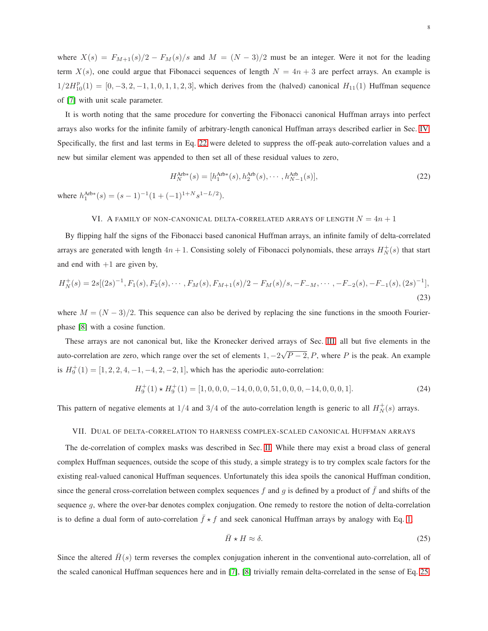where  $X(s) = F_{M+1}(s)/2 - F_M(s)/s$  and  $M = (N-3)/2$  must be an integer. Were it not for the leading term  $X(s)$ , one could argue that Fibonacci sequences of length  $N = 4n + 3$  are perfect arrays. An example is  $1/2H_{10}^p(1) = [0, -3, 2, -1, 1, 0, 1, 1, 2, 3]$ , which derives from the (halved) canonical  $H_{11}(1)$  Huffman sequence of [\[7\]](#page-9-6) with unit scale parameter.

It is worth noting that the same procedure for converting the Fibonacci canonical Huffman arrays into perfect arrays also works for the infinite family of arbitrary-length canonical Huffman arrays described earlier in Sec. [IV.](#page-3-1) Specifically, the first and last terms in Eq. [22](#page-7-2) were deleted to suppress the off-peak auto-correlation values and a new but similar element was appended to then set all of these residual values to zero,

<span id="page-7-2"></span>
$$
H_N^{\text{Arb}*}(s) = [h_1^{\text{Arb}*}(s), h_2^{\text{Arb}}(s), \cdots, h_{N-1}^{\text{Arb}}(s)],
$$
\n
$$
h_1^{\text{Arb}*}(s) = [h_1^{\text{Arb}*}(s), h_2^{\text{Arb}}(s), \cdots, h_{N-1}^{\text{Arb}}(s)],
$$
\n
$$
(22)
$$

<span id="page-7-0"></span>where  $h_1^{\text{Arb}*}(s) = (s-1)^{-1}(1+(-1)^{1+N} s^{1-L/2}).$ 

## VI. A FAMILY OF NON-CANONICAL DELTA-CORRELATED ARRAYS OF LENGTH  ${\cal N}=4n+1$

By flipping half the signs of the Fibonacci based canonical Huffman arrays, an infinite family of delta-correlated arrays are generated with length  $4n + 1$ . Consisting solely of Fibonacci polynomials, these arrays  $H_N^+(s)$  that start and end with  $+1$  are given by,

$$
H_N^+(s) = 2s[(2s)^{-1}, F_1(s), F_2(s), \cdots, F_M(s), F_{M+1}(s)/2 - F_M(s)/s, -F_{-M}, \cdots, -F_{-2}(s), -F_{-1}(s), (2s)^{-1}],
$$
\n(23)

where  $M = (N - 3)/2$ . This sequence can also be derived by replacing the sine functions in the smooth Fourierphase [\[8\]](#page-9-7) with a cosine function.

These arrays are not canonical but, like the Kronecker derived arrays of Sec. [III,](#page-3-0) all but five elements in the auto-correlation are zero, which range over the set of elements  $1, -2\sqrt{P-2}$ , P, where P is the peak. An example is  $H_9^+(1) = [1, 2, 2, 4, -1, -4, 2, -2, 1]$ , which has the aperiodic auto-correlation:

$$
H_9^+(1) \star H_9^+(1) = [1, 0, 0, 0, -14, 0, 0, 0, 51, 0, 0, 0, -14, 0, 0, 0, 1].
$$
\n(24)

<span id="page-7-1"></span>This pattern of negative elements at  $1/4$  and  $3/4$  of the auto-correlation length is generic to all  $H_N^+(s)$  arrays.

#### VII. DUAL OF DELTA-CORRELATION TO HARNESS COMPLEX-SCALED CANONICAL HUFFMAN ARRAYS

The de-correlation of complex masks was described in Sec. [II.](#page-2-0) While there may exist a broad class of general complex Huffman sequences, outside the scope of this study, a simple strategy is to try complex scale factors for the existing real-valued canonical Huffman sequences. Unfortunately this idea spoils the canonical Huffman condition, since the general cross-correlation between complex sequences f and g is defined by a product of  $\bar{f}$  and shifts of the sequence  $g$ , where the over-bar denotes complex conjugation. One remedy to restore the notion of delta-correlation is to define a dual form of auto-correlation  $\bar{f} \star f$  and seek canonical Huffman arrays by analogy with Eq. [1,](#page-2-3)

<span id="page-7-3"></span>
$$
\bar{H} \star H \approx \delta. \tag{25}
$$

Since the altered  $H(s)$  term reverses the complex conjugation inherent in the conventional auto-correlation, all of the scaled canonical Huffman sequences here and in [\[7\]](#page-9-6), [\[8\]](#page-9-7) trivially remain delta-correlated in the sense of Eq. [25,](#page-7-3)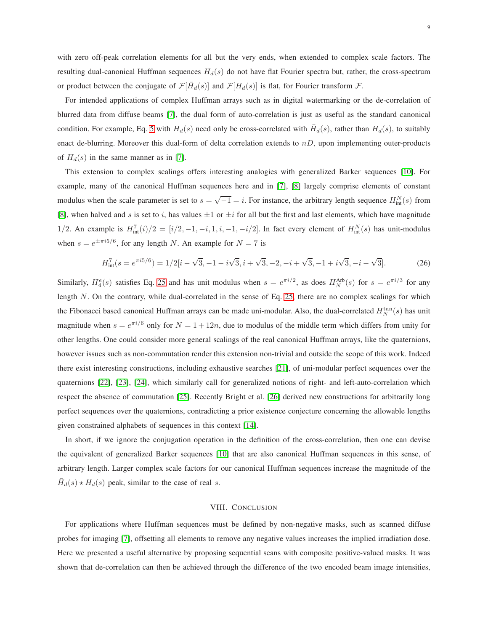with zero off-peak correlation elements for all but the very ends, when extended to complex scale factors. The resulting dual-canonical Huffman sequences  $H_d(s)$  do not have flat Fourier spectra but, rather, the cross-spectrum or product between the conjugate of  $\mathcal{F}[\bar{H}_d(s)]$  and  $\mathcal{F}[H_d(s)]$  is flat, for Fourier transform  $\mathcal{F}$ .

For intended applications of complex Huffman arrays such as in digital watermarking or the de-correlation of blurred data from diffuse beams [\[7\]](#page-9-6), the dual form of auto-correlation is just as useful as the standard canonical condition. For example, Eq. [5](#page-2-2) with  $H_d(s)$  need only be cross-correlated with  $\bar{H}_d(s)$ , rather than  $H_d(s)$ , to suitably enact de-blurring. Moreover this dual-form of delta correlation extends to  $nD$ , upon implementing outer-products of  $H_d(s)$  in the same manner as in [\[7\]](#page-9-6).

This extension to complex scalings offers interesting analogies with generalized Barker sequences [\[10\]](#page-9-9). For example, many of the canonical Huffman sequences here and in [\[7\]](#page-9-6), [\[8\]](#page-9-7) largely comprise elements of constant modulus when the scale parameter is set to  $s = \sqrt{-1} = i$ . For instance, the arbitrary length sequence  $H_{\text{int}}^{N}(s)$  from [\[8\]](#page-9-7), when halved and s is set to i, has values  $\pm 1$  or  $\pm i$  for all but the first and last elements, which have magnitude 1/2. An example is  $H_{\text{int}}^7(i)/2 = [i/2, -1, -i, 1, i, -1, -i/2]$ . In fact every element of  $H_{\text{int}}^N(s)$  has unit-modulus when  $s = e^{\pm \pi i 5/6}$ , for any length N. An example for  $N = 7$  is

$$
H_{\text{int}}^{7}(s = e^{\pi i 5/6}) = 1/2[i - \sqrt{3}, -1 - i\sqrt{3}, i + \sqrt{3}, -2, -i + \sqrt{3}, -1 + i\sqrt{3}, -i - \sqrt{3}].
$$
 (26)

Similarly,  $H_4^e(s)$  satisfies Eq. [25](#page-7-3) and has unit modulus when  $s = e^{\pi i/2}$ , as does  $H_N^{Arb}(s)$  for  $s = e^{\pi i/3}$  for any length N. On the contrary, while dual-correlated in the sense of Eq. [25,](#page-7-3) there are no complex scalings for which the Fibonacci based canonical Huffman arrays can be made uni-modular. Also, the dual-correlated  $H_N^{\text{tan}}(s)$  has unit magnitude when  $s = e^{\pi i/6}$  only for  $N = 1 + 12n$ , due to modulus of the middle term which differs from unity for other lengths. One could consider more general scalings of the real canonical Huffman arrays, like the quaternions, however issues such as non-commutation render this extension non-trivial and outside the scope of this work. Indeed there exist interesting constructions, including exhaustive searches [\[21\]](#page-9-20), of uni-modular perfect sequences over the quaternions [\[22\]](#page-10-0), [\[23\]](#page-10-1), [\[24\]](#page-10-2), which similarly call for generalized notions of right- and left-auto-correlation which respect the absence of commutation [\[25\]](#page-10-3). Recently Bright et al. [\[26\]](#page-10-4) derived new constructions for arbitrarily long perfect sequences over the quaternions, contradicting a prior existence conjecture concerning the allowable lengths given constrained alphabets of sequences in this context [\[14\]](#page-9-13).

In short, if we ignore the conjugation operation in the definition of the cross-correlation, then one can devise the equivalent of generalized Barker sequences [\[10\]](#page-9-9) that are also canonical Huffman sequences in this sense, of arbitrary length. Larger complex scale factors for our canonical Huffman sequences increase the magnitude of the  $\bar{H}_d(s) \star H_d(s)$  peak, similar to the case of real s.

#### VIII. CONCLUSION

<span id="page-8-0"></span>For applications where Huffman sequences must be defined by non-negative masks, such as scanned diffuse probes for imaging [\[7\]](#page-9-6), offsetting all elements to remove any negative values increases the implied irradiation dose. Here we presented a useful alternative by proposing sequential scans with composite positive-valued masks. It was shown that de-correlation can then be achieved through the difference of the two encoded beam image intensities,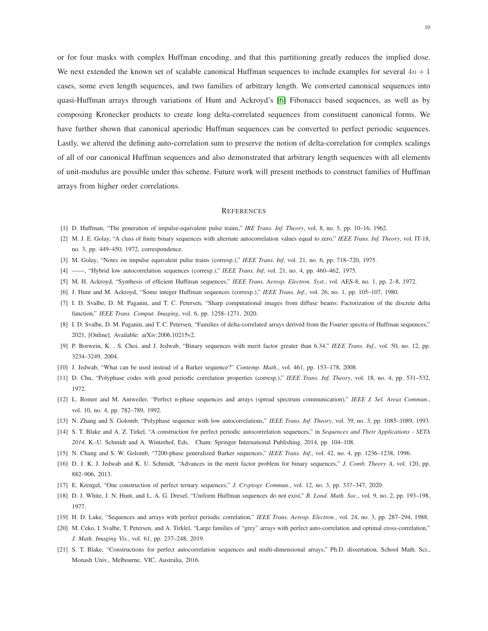or for four masks with complex Huffman encoding, and that this partitioning greatly reduces the implied dose. We next extended the known set of scalable canonical Huffman sequences to include examples for several  $4n + 1$ cases, some even length sequences, and two families of arbitrary length. We converted canonical sequences into quasi-Huffman arrays through variations of Hunt and Ackroyd's [\[6\]](#page-9-5) Fibonacci based sequences, as well as by composing Kronecker products to create long delta-correlated sequences from constituent canonical forms. We have further shown that canonical aperiodic Huffman sequences can be converted to perfect periodic sequences. Lastly, we altered the defining auto-correlation sum to preserve the notion of delta-correlation for complex scalings of all of our canonical Huffman sequences and also demonstrated that arbitrary length sequences with all elements of unit-modulus are possible under this scheme. Future work will present methods to construct families of Huffman arrays from higher order correlations.

#### **REFERENCES**

- <span id="page-9-1"></span><span id="page-9-0"></span>[1] D. Huffman, "The generation of impulse-equivalent pulse trains," *IRE Trans. Inf. Theory*, vol. 8, no. 5, pp. 10–16, 1962.
- <span id="page-9-2"></span>[2] M. J. E. Golay, "A class of finite binary sequences with alternate autocorrelation values equal to zero," *IEEE Trans. Inf. Theory*, vol. IT-18, no. 3, pp. 449–450, 1972, correspondence.
- <span id="page-9-3"></span>[3] M. Golay, "Notes on impulse equivalent pulse trains (corresp.)," *IEEE Trans. Inf*, vol. 21, no. 6, pp. 718–720, 1975.
- <span id="page-9-4"></span>[4] ——, "Hybrid low autocorrelation sequences (corresp.)," *IEEE Trans. Inf*, vol. 21, no. 4, pp. 460–462, 1975.
- <span id="page-9-5"></span>[5] M. H. Ackroyd, "Synthesis of efficient Huffman sequences," *IEEE Trans. Aerosp. Electron. Syst.*, vol. AES-8, no. 1, pp. 2–8, 1972.
- <span id="page-9-6"></span>[6] J. Hunt and M. Ackroyd, "Some integer Huffman sequences (corresp.)," *IEEE Trans. Inf.*, vol. 26, no. 1, pp. 105–107, 1980.
- <span id="page-9-7"></span>[7] I. D. Svalbe, D. M. Paganin, and T. C. Petersen, "Sharp computational images from diffuse beams: Factorization of the discrete delta function," *IEEE Trans. Comput. Imaging*, vol. 6, pp. 1258–1271, 2020.
- <span id="page-9-8"></span>[8] I. D. Svalbe, D. M. Paganin, and T. C. Petersen, "Families of delta-correlated arrays derived from the Fourier spectra of Huffman sequences," 2021, [Online]. Available: arXiv:2006.10215v2.
- <span id="page-9-9"></span>[9] P. Borwein, K. . S. Choi, and J. Jedwab, "Binary sequences with merit factor greater than 6.34," *IEEE Trans. Inf.*, vol. 50, no. 12, pp. 3234–3249, 2004.
- <span id="page-9-10"></span>[10] J. Jedwab, "What can be used instead of a Barker sequence?" *Contemp. Math.*, vol. 461, pp. 153–178, 2008.
- <span id="page-9-11"></span>[11] D. Chu, "Polyphase codes with good periodic correlation properties (corresp.)," *IEEE Trans. Inf. Theory*, vol. 18, no. 4, pp. 531–532, 1972.
- <span id="page-9-12"></span>[12] L. Bomer and M. Antweiler, "Perfect n-phase sequences and arrays (spread spectrum communication)," *IEEE J. Sel. Areas Commun.*, vol. 10, no. 4, pp. 782–789, 1992.
- <span id="page-9-13"></span>[13] N. Zhang and S. Golomb, "Polyphase sequence with low autocorrelations," *IEEE Trans. Inf. Theory*, vol. 39, no. 3, pp. 1085–1089, 1993.
- <span id="page-9-14"></span>[14] S. T. Blake and A. Z. Tirkel, "A construction for perfect periodic autocorrelation sequences," in *Sequences and Their Applications - SETA 2014*, K.-U. Schmidt and A. Winterhof, Eds. Cham: Springer International Publishing, 2014, pp. 104–108.
- <span id="page-9-15"></span>[15] N. Chang and S. W. Golomb, "7200-phase generalized Barker sequences," *IEEE Trans. Inf.*, vol. 42, no. 4, pp. 1236–1238, 1996.
- <span id="page-9-16"></span>[16] D. J. K. J. Jedwab and K. U. Schmidt, "Advances in the merit factor problem for binary sequences," *J. Comb. Theory A*, vol. 120, pp. 882–906, 2013.
- <span id="page-9-17"></span>[17] E. Krengel, "One construction of perfect ternary sequences," *J. Cryptogr. Commun.*, vol. 12, no. 3, pp. 337–347, 2020.
- <span id="page-9-18"></span>[18] D. J. White, J. N. Hunt, and L. A. G. Dresel, "Uniform Huffman sequences do not exist," *B. Lond. Math. Soc.*, vol. 9, no. 2, pp. 193–198, 1977.
- <span id="page-9-19"></span>[19] H. D. Luke, "Sequences and arrays with perfect periodic correlation," *IEEE Trans. Aerosp. Electron.*, vol. 24, no. 3, pp. 287–294, 1988.
- <span id="page-9-20"></span>[20] M. Ceko, I. Svalbe, T. Petersen, and A. Tirklel, "Large families of "grey" arrays with perfect auto-correlation and optimal cross-correlation," *J. Math. Imaging Vis.*, vol. 61, pp. 237–248, 2019.
- [21] S. T. Blake, "Constructions for perfect autocorrelation sequences and multi-dimensional arrays," Ph.D. dissertation, School Math. Sci., Monash Univ., Melbourne, VIC, Australia, 2016.